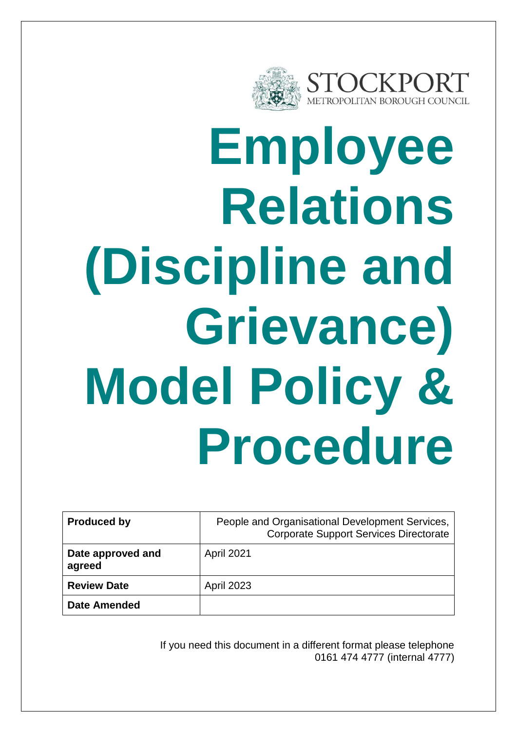

# **Employee Relations (Discipline and Grievance) Model Policy & Procedure**

| <b>Produced by</b>          | People and Organisational Development Services,<br><b>Corporate Support Services Directorate</b> |  |
|-----------------------------|--------------------------------------------------------------------------------------------------|--|
| Date approved and<br>agreed | <b>April 2021</b>                                                                                |  |
| <b>Review Date</b>          | <b>April 2023</b>                                                                                |  |
| <b>Date Amended</b>         |                                                                                                  |  |

If you need this document in a different format please telephone 0161 474 4777 (internal 4777)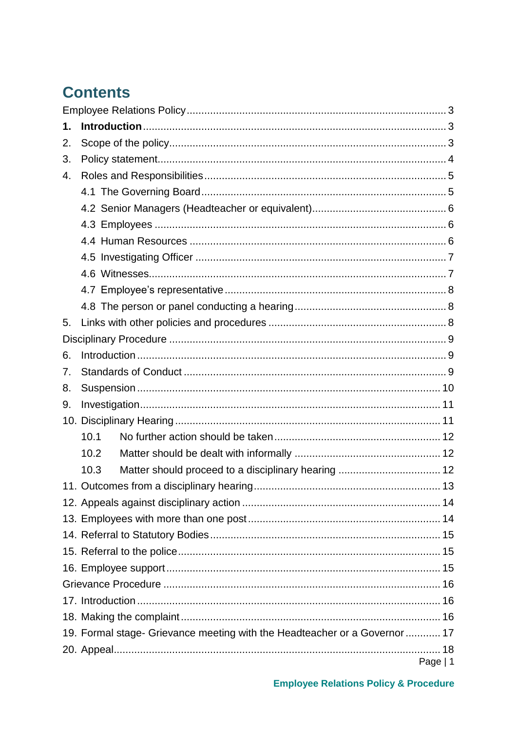## **Contents**

| 1. |      |                                                                            |          |
|----|------|----------------------------------------------------------------------------|----------|
| 2. |      |                                                                            |          |
| 3. |      |                                                                            |          |
| 4. |      |                                                                            |          |
|    |      |                                                                            |          |
|    |      |                                                                            |          |
|    |      |                                                                            |          |
|    |      |                                                                            |          |
|    |      |                                                                            |          |
|    |      |                                                                            |          |
|    |      |                                                                            |          |
|    |      |                                                                            |          |
| 5. |      |                                                                            |          |
|    |      |                                                                            |          |
| 6. |      |                                                                            |          |
| 7. |      |                                                                            |          |
| 8. |      |                                                                            |          |
| 9. |      |                                                                            |          |
|    |      |                                                                            |          |
|    | 10.1 |                                                                            |          |
|    | 10.2 |                                                                            |          |
|    | 10.3 |                                                                            |          |
|    |      |                                                                            |          |
|    |      |                                                                            |          |
|    |      |                                                                            |          |
|    |      |                                                                            |          |
|    |      |                                                                            |          |
|    |      |                                                                            |          |
|    |      |                                                                            |          |
|    |      |                                                                            |          |
|    |      |                                                                            |          |
|    |      | 19. Formal stage- Grievance meeting with the Headteacher or a Governor  17 |          |
|    |      |                                                                            |          |
|    |      |                                                                            | Page   1 |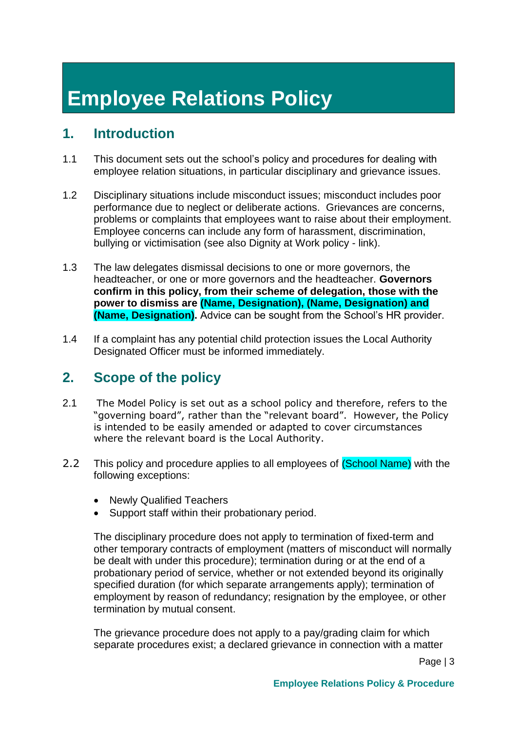# <span id="page-3-0"></span>**Employee Relations Policy**

## <span id="page-3-1"></span>**1. Introduction**

- 1.1 This document sets out the school's policy and procedures for dealing with employee relation situations, in particular disciplinary and grievance issues.
- 1.2 Disciplinary situations include misconduct issues; misconduct includes poor performance due to neglect or deliberate actions. Grievances are concerns, problems or complaints that employees want to raise about their employment. Employee concerns can include any form of harassment, discrimination, bullying or victimisation (see also Dignity at Work policy - link).
- 1.3 The law delegates dismissal decisions to one or more governors, the headteacher, or one or more governors and the headteacher. **Governors confirm in this policy, from their scheme of delegation, those with the power to dismiss are (Name, Designation), (Name, Designation) and (Name, Designation).** Advice can be sought from the School's HR provider.
- 1.4 If a complaint has any potential child protection issues the Local Authority Designated Officer must be informed immediately.

## <span id="page-3-2"></span>**2. Scope of the policy**

- 2.1 The Model Policy is set out as a school policy and therefore, refers to the "governing board", rather than the "relevant board". However, the Policy is intended to be easily amended or adapted to cover circumstances where the relevant board is the Local Authority.
- 2.2 This policy and procedure applies to all employees of (School Name) with the following exceptions:
	- Newly Qualified Teachers
	- Support staff within their probationary period.

The disciplinary procedure does not apply to termination of fixed-term and other temporary contracts of employment (matters of misconduct will normally be dealt with under this procedure); termination during or at the end of a probationary period of service, whether or not extended beyond its originally specified duration (for which separate arrangements apply); termination of employment by reason of redundancy; resignation by the employee, or other termination by mutual consent.

The grievance procedure does not apply to a pay/grading claim for which separate procedures exist; a declared grievance in connection with a matter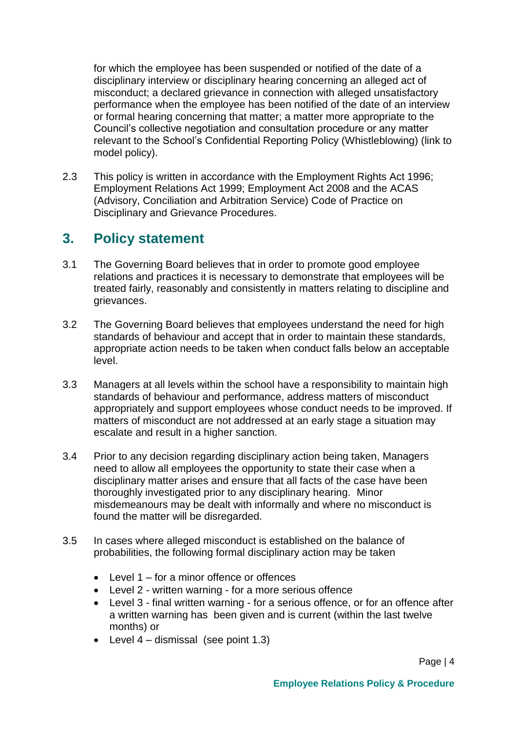for which the employee has been suspended or notified of the date of a disciplinary interview or disciplinary hearing concerning an alleged act of misconduct; a declared grievance in connection with alleged unsatisfactory performance when the employee has been notified of the date of an interview or formal hearing concerning that matter; a matter more appropriate to the Council's collective negotiation and consultation procedure or any matter relevant to the School's Confidential Reporting Policy (Whistleblowing) (link to model policy).

2.3 This policy is written in accordance with the Employment Rights Act 1996; Employment Relations Act 1999; Employment Act 2008 and the ACAS (Advisory, Conciliation and Arbitration Service) Code of Practice on Disciplinary and Grievance Procedures.

#### <span id="page-4-0"></span>**3. Policy statement**

- 3.1 The Governing Board believes that in order to promote good employee relations and practices it is necessary to demonstrate that employees will be treated fairly, reasonably and consistently in matters relating to discipline and grievances.
- 3.2 The Governing Board believes that employees understand the need for high standards of behaviour and accept that in order to maintain these standards, appropriate action needs to be taken when conduct falls below an acceptable level.
- 3.3 Managers at all levels within the school have a responsibility to maintain high standards of behaviour and performance, address matters of misconduct appropriately and support employees whose conduct needs to be improved. If matters of misconduct are not addressed at an early stage a situation may escalate and result in a higher sanction.
- 3.4 Prior to any decision regarding disciplinary action being taken, Managers need to allow all employees the opportunity to state their case when a disciplinary matter arises and ensure that all facts of the case have been thoroughly investigated prior to any disciplinary hearing. Minor misdemeanours may be dealt with informally and where no misconduct is found the matter will be disregarded.
- 3.5 In cases where alleged misconduct is established on the balance of probabilities, the following formal disciplinary action may be taken
	- Level 1 for a minor offence or offences
	- Level 2 written warning for a more serious offence
	- Level 3 final written warning for a serious offence, or for an offence after a written warning has been given and is current (within the last twelve months) or
	- Level  $4$  dismissal (see point 1.3)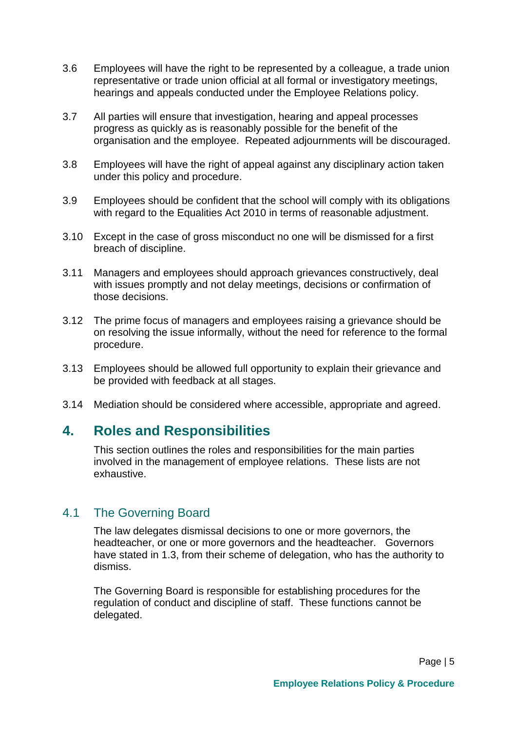- 3.6 Employees will have the right to be represented by a colleague, a trade union representative or trade union official at all formal or investigatory meetings, hearings and appeals conducted under the Employee Relations policy.
- 3.7 All parties will ensure that investigation, hearing and appeal processes progress as quickly as is reasonably possible for the benefit of the organisation and the employee. Repeated adjournments will be discouraged.
- 3.8 Employees will have the right of appeal against any disciplinary action taken under this policy and procedure.
- 3.9 Employees should be confident that the school will comply with its obligations with regard to the Equalities Act 2010 in terms of reasonable adjustment.
- 3.10 Except in the case of gross misconduct no one will be dismissed for a first breach of discipline.
- 3.11 Managers and employees should approach grievances constructively, deal with issues promptly and not delay meetings, decisions or confirmation of those decisions.
- 3.12 The prime focus of managers and employees raising a grievance should be on resolving the issue informally, without the need for reference to the formal procedure.
- 3.13 Employees should be allowed full opportunity to explain their grievance and be provided with feedback at all stages.
- 3.14 Mediation should be considered where accessible, appropriate and agreed.

#### <span id="page-5-0"></span>**4. Roles and Responsibilities**

This section outlines the roles and responsibilities for the main parties involved in the management of employee relations. These lists are not exhaustive.

#### <span id="page-5-1"></span>4.1 The Governing Board

The law delegates dismissal decisions to one or more governors, the headteacher, or one or more governors and the headteacher. Governors have stated in 1.3, from their scheme of delegation, who has the authority to dismiss.

The Governing Board is responsible for establishing procedures for the regulation of conduct and discipline of staff. These functions cannot be delegated.

Page | 5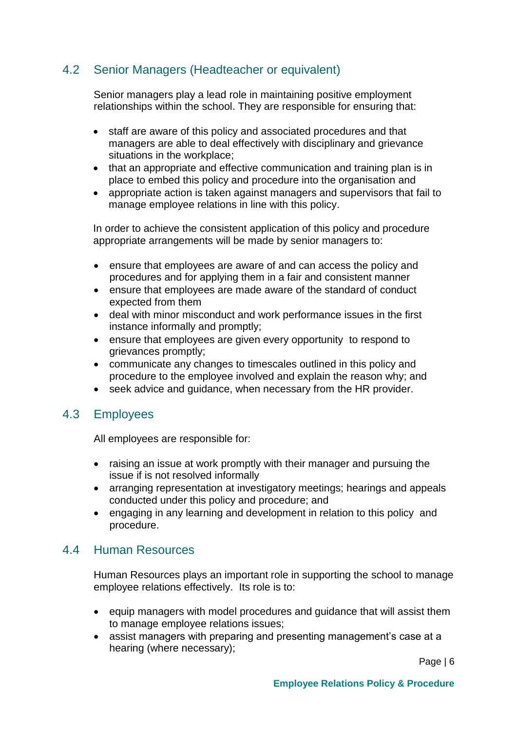#### <span id="page-6-0"></span>4.2 Senior Managers (Headteacher or equivalent)

Senior managers play a lead role in maintaining positive employment relationships within the school. They are responsible for ensuring that:

- staff are aware of this policy and associated procedures and that managers are able to deal effectively with disciplinary and grievance situations in the workplace;
- that an appropriate and effective communication and training plan is in place to embed this policy and procedure into the organisation and
- appropriate action is taken against managers and supervisors that fail to manage employee relations in line with this policy.

In order to achieve the consistent application of this policy and procedure appropriate arrangements will be made by senior managers to:

- ensure that employees are aware of and can access the policy and procedures and for applying them in a fair and consistent manner
- ensure that employees are made aware of the standard of conduct expected from them
- deal with minor misconduct and work performance issues in the first instance informally and promptly;
- ensure that employees are given every opportunity to respond to grievances promptly;
- communicate any changes to timescales outlined in this policy and procedure to the employee involved and explain the reason why; and
- seek advice and guidance, when necessary from the HR provider.

#### <span id="page-6-1"></span>4.3 Employees

All employees are responsible for:

- raising an issue at work promptly with their manager and pursuing the issue if is not resolved informally
- arranging representation at investigatory meetings; hearings and appeals conducted under this policy and procedure; and
- engaging in any learning and development in relation to this policy and procedure.

#### <span id="page-6-2"></span>4.4 Human Resources

Human Resources plays an important role in supporting the school to manage employee relations effectively. Its role is to:

- equip managers with model procedures and guidance that will assist them to manage employee relations issues;
- assist managers with preparing and presenting management's case at a hearing (where necessary);

Page | 6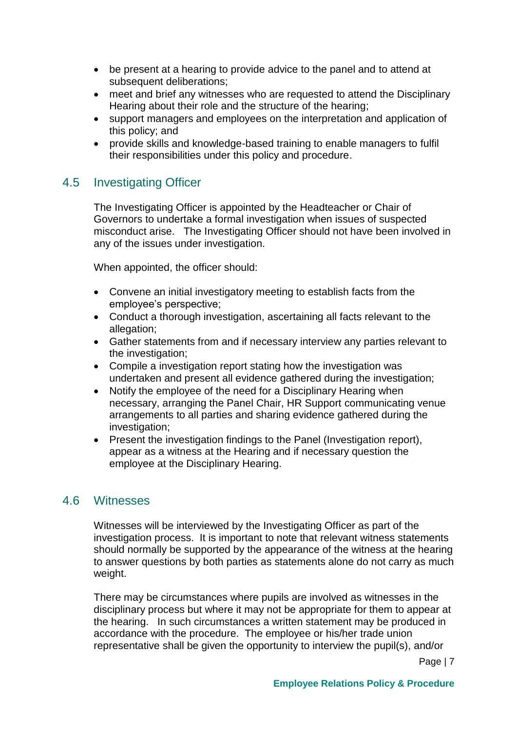- be present at a hearing to provide advice to the panel and to attend at subsequent deliberations;
- meet and brief any witnesses who are requested to attend the Disciplinary Hearing about their role and the structure of the hearing;
- support managers and employees on the interpretation and application of this policy; and
- provide skills and knowledge-based training to enable managers to fulfil their responsibilities under this policy and procedure.

#### <span id="page-7-0"></span>4.5 Investigating Officer

The Investigating Officer is appointed by the Headteacher or Chair of Governors to undertake a formal investigation when issues of suspected misconduct arise. The Investigating Officer should not have been involved in any of the issues under investigation.

When appointed, the officer should:

- Convene an initial investigatory meeting to establish facts from the employee's perspective;
- Conduct a thorough investigation, ascertaining all facts relevant to the allegation;
- Gather statements from and if necessary interview any parties relevant to the investigation;
- Compile a investigation report stating how the investigation was undertaken and present all evidence gathered during the investigation;
- Notify the employee of the need for a Disciplinary Hearing when necessary, arranging the Panel Chair, HR Support communicating venue arrangements to all parties and sharing evidence gathered during the investigation;
- Present the investigation findings to the Panel (Investigation report), appear as a witness at the Hearing and if necessary question the employee at the Disciplinary Hearing.

#### <span id="page-7-1"></span>4.6 Witnesses

Witnesses will be interviewed by the Investigating Officer as part of the investigation process. It is important to note that relevant witness statements should normally be supported by the appearance of the witness at the hearing to answer questions by both parties as statements alone do not carry as much weight.

There may be circumstances where pupils are involved as witnesses in the disciplinary process but where it may not be appropriate for them to appear at the hearing. In such circumstances a written statement may be produced in accordance with the procedure. The employee or his/her trade union representative shall be given the opportunity to interview the pupil(s), and/or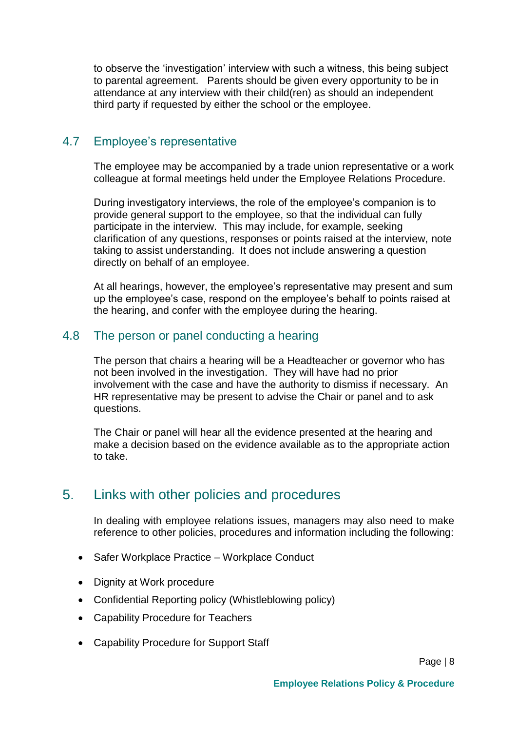to observe the 'investigation' interview with such a witness, this being subject to parental agreement. Parents should be given every opportunity to be in attendance at any interview with their child(ren) as should an independent third party if requested by either the school or the employee.

#### <span id="page-8-0"></span>4.7 Employee's representative

The employee may be accompanied by a trade union representative or a work colleague at formal meetings held under the Employee Relations Procedure.

During investigatory interviews, the role of the employee's companion is to provide general support to the employee, so that the individual can fully participate in the interview. This may include, for example, seeking clarification of any questions, responses or points raised at the interview, note taking to assist understanding. It does not include answering a question directly on behalf of an employee.

At all hearings, however, the employee's representative may present and sum up the employee's case, respond on the employee's behalf to points raised at the hearing, and confer with the employee during the hearing.

#### <span id="page-8-1"></span>4.8 The person or panel conducting a hearing

The person that chairs a hearing will be a Headteacher or governor who has not been involved in the investigation. They will have had no prior involvement with the case and have the authority to dismiss if necessary. An HR representative may be present to advise the Chair or panel and to ask questions.

The Chair or panel will hear all the evidence presented at the hearing and make a decision based on the evidence available as to the appropriate action to take.

#### <span id="page-8-2"></span>5. Links with other policies and procedures

In dealing with employee relations issues, managers may also need to make reference to other policies, procedures and information including the following:

- Safer Workplace Practice Workplace Conduct
- Dignity at Work procedure
- Confidential Reporting policy (Whistleblowing policy)
- Capability Procedure for Teachers
- Capability Procedure for Support Staff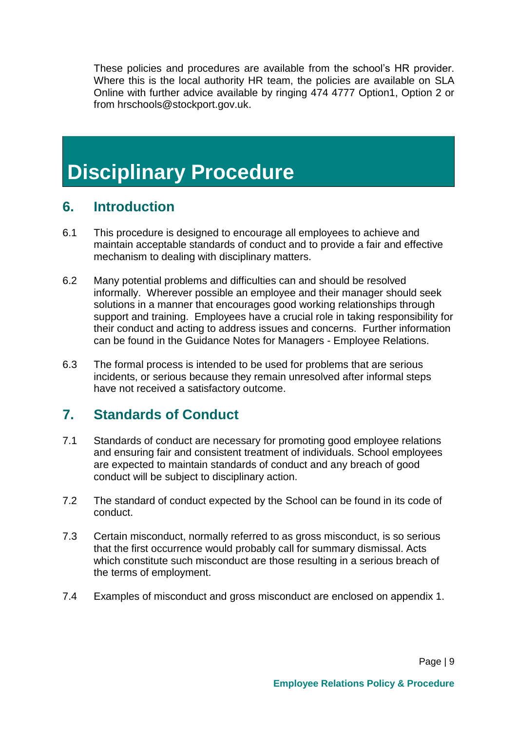These policies and procedures are available from the school's HR provider. Where this is the local authority HR team, the policies are available on SLA Online with further advice available by ringing 474 4777 Option1, Option 2 or from hrschools@stockport.gov.uk.

## <span id="page-9-0"></span>**Disciplinary Procedure**

#### <span id="page-9-1"></span>**6. Introduction**

- 6.1 This procedure is designed to encourage all employees to achieve and maintain acceptable standards of conduct and to provide a fair and effective mechanism to dealing with disciplinary matters.
- 6.2 Many potential problems and difficulties can and should be resolved informally. Wherever possible an employee and their manager should seek solutions in a manner that encourages good working relationships through support and training. Employees have a crucial role in taking responsibility for their conduct and acting to address issues and concerns. Further information can be found in the Guidance Notes for Managers - Employee Relations.
- 6.3 The formal process is intended to be used for problems that are serious incidents, or serious because they remain unresolved after informal steps have not received a satisfactory outcome.

## <span id="page-9-2"></span>**7. Standards of Conduct**

- 7.1 Standards of conduct are necessary for promoting good employee relations and ensuring fair and consistent treatment of individuals. School employees are expected to maintain standards of conduct and any breach of good conduct will be subject to disciplinary action.
- 7.2 The standard of conduct expected by the School can be found in its code of conduct.
- 7.3 Certain misconduct, normally referred to as gross misconduct, is so serious that the first occurrence would probably call for summary dismissal. Acts which constitute such misconduct are those resulting in a serious breach of the terms of employment.
- 7.4 Examples of misconduct and gross misconduct are enclosed on appendix 1.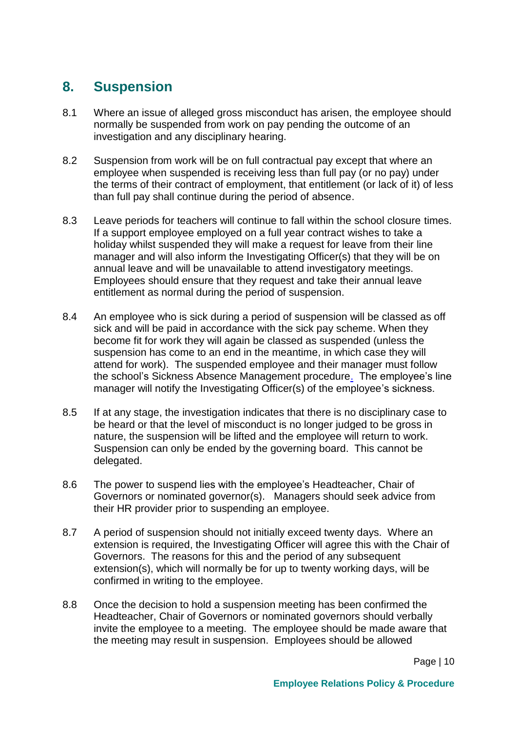## <span id="page-10-0"></span>**8. Suspension**

- 8.1 Where an issue of alleged gross misconduct has arisen, the employee should normally be suspended from work on pay pending the outcome of an investigation and any disciplinary hearing.
- 8.2 Suspension from work will be on full contractual pay except that where an employee when suspended is receiving less than full pay (or no pay) under the terms of their contract of employment, that entitlement (or lack of it) of less than full pay shall continue during the period of absence.
- 8.3 Leave periods for teachers will continue to fall within the school closure times. If a support employee employed on a full year contract wishes to take a holiday whilst suspended they will make a request for leave from their line manager and will also inform the Investigating Officer(s) that they will be on annual leave and will be unavailable to attend investigatory meetings. Employees should ensure that they request and take their annual leave entitlement as normal during the period of suspension.
- 8.4 An employee who is sick during a period of suspension will be classed as off sick and will be paid in accordance with the sick pay scheme. When they become fit for work they will again be classed as suspended (unless the suspension has come to an end in the meantime, in which case they will attend for work). The suspended employee and their manager must follow the school's Sickness Absence Management procedure. The employee's line manager will notify the Investigating Officer(s) of the employee's sickness.
- 8.5 If at any stage, the investigation indicates that there is no disciplinary case to be heard or that the level of misconduct is no longer judged to be gross in nature, the suspension will be lifted and the employee will return to work. Suspension can only be ended by the governing board. This cannot be delegated.
- 8.6 The power to suspend lies with the employee's Headteacher, Chair of Governors or nominated governor(s). Managers should seek advice from their HR provider prior to suspending an employee.
- 8.7 A period of suspension should not initially exceed twenty days. Where an extension is required, the Investigating Officer will agree this with the Chair of Governors. The reasons for this and the period of any subsequent extension(s), which will normally be for up to twenty working days, will be confirmed in writing to the employee.
- 8.8 Once the decision to hold a suspension meeting has been confirmed the Headteacher, Chair of Governors or nominated governors should verbally invite the employee to a meeting. The employee should be made aware that the meeting may result in suspension. Employees should be allowed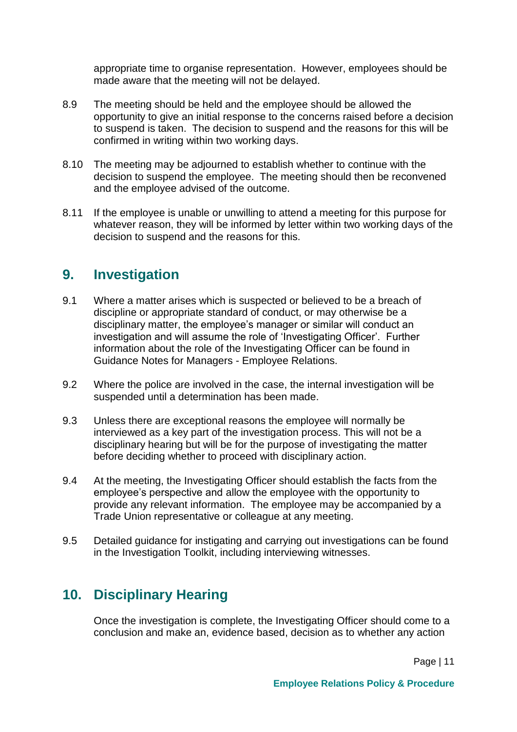appropriate time to organise representation. However, employees should be made aware that the meeting will not be delayed.

- 8.9 The meeting should be held and the employee should be allowed the opportunity to give an initial response to the concerns raised before a decision to suspend is taken. The decision to suspend and the reasons for this will be confirmed in writing within two working days.
- 8.10 The meeting may be adjourned to establish whether to continue with the decision to suspend the employee. The meeting should then be reconvened and the employee advised of the outcome.
- 8.11 If the employee is unable or unwilling to attend a meeting for this purpose for whatever reason, they will be informed by letter within two working days of the decision to suspend and the reasons for this.

#### <span id="page-11-0"></span>**9. Investigation**

- 9.1 Where a matter arises which is suspected or believed to be a breach of discipline or appropriate standard of conduct, or may otherwise be a disciplinary matter, the employee's manager or similar will conduct an investigation and will assume the role of 'Investigating Officer'. Further information about the role of the Investigating Officer can be found in Guidance Notes for Managers - Employee Relations.
- 9.2 Where the police are involved in the case, the internal investigation will be suspended until a determination has been made.
- 9.3 Unless there are exceptional reasons the employee will normally be interviewed as a key part of the investigation process. This will not be a disciplinary hearing but will be for the purpose of investigating the matter before deciding whether to proceed with disciplinary action.
- 9.4 At the meeting, the Investigating Officer should establish the facts from the employee's perspective and allow the employee with the opportunity to provide any relevant information. The employee may be accompanied by a Trade Union representative or colleague at any meeting.
- 9.5 Detailed guidance for instigating and carrying out investigations can be found in the Investigation Toolkit, including interviewing witnesses.

## <span id="page-11-1"></span>**10. Disciplinary Hearing**

Once the investigation is complete, the Investigating Officer should come to a conclusion and make an, evidence based, decision as to whether any action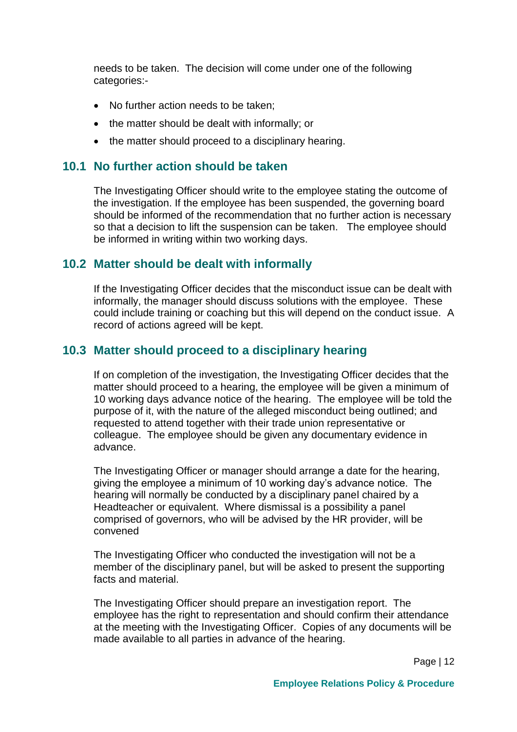needs to be taken. The decision will come under one of the following categories:-

- No further action needs to be taken;
- the matter should be dealt with informally; or
- the matter should proceed to a disciplinary hearing.

#### <span id="page-12-0"></span>**10.1 No further action should be taken**

The Investigating Officer should write to the employee stating the outcome of the investigation. If the employee has been suspended, the governing board should be informed of the recommendation that no further action is necessary so that a decision to lift the suspension can be taken. The employee should be informed in writing within two working days.

#### <span id="page-12-1"></span>**10.2 Matter should be dealt with informally**

If the Investigating Officer decides that the misconduct issue can be dealt with informally, the manager should discuss solutions with the employee. These could include training or coaching but this will depend on the conduct issue. A record of actions agreed will be kept.

#### <span id="page-12-2"></span>**10.3 Matter should proceed to a disciplinary hearing**

If on completion of the investigation, the Investigating Officer decides that the matter should proceed to a hearing, the employee will be given a minimum of 10 working days advance notice of the hearing. The employee will be told the purpose of it, with the nature of the alleged misconduct being outlined; and requested to attend together with their trade union representative or colleague. The employee should be given any documentary evidence in advance.

The Investigating Officer or manager should arrange a date for the hearing, giving the employee a minimum of 10 working day's advance notice. The hearing will normally be conducted by a disciplinary panel chaired by a Headteacher or equivalent. Where dismissal is a possibility a panel comprised of governors, who will be advised by the HR provider, will be convened

The Investigating Officer who conducted the investigation will not be a member of the disciplinary panel, but will be asked to present the supporting facts and material.

The Investigating Officer should prepare an investigation report. The employee has the right to representation and should confirm their attendance at the meeting with the Investigating Officer. Copies of any documents will be made available to all parties in advance of the hearing.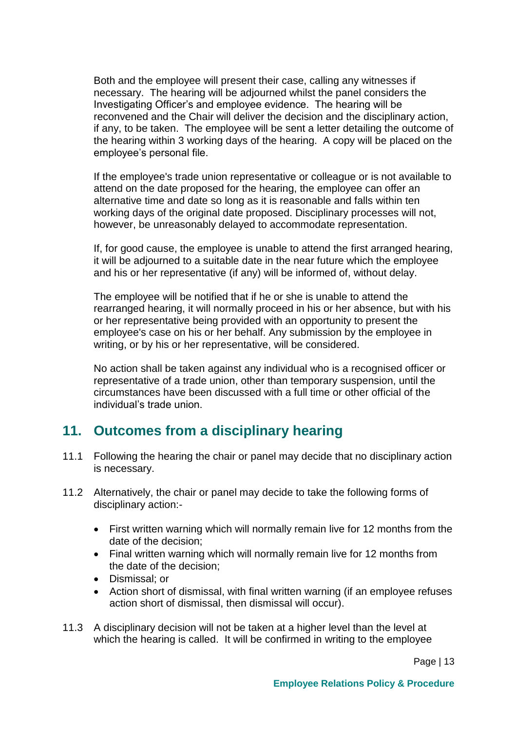Both and the employee will present their case, calling any witnesses if necessary. The hearing will be adjourned whilst the panel considers the Investigating Officer's and employee evidence. The hearing will be reconvened and the Chair will deliver the decision and the disciplinary action, if any, to be taken. The employee will be sent a letter detailing the outcome of the hearing within 3 working days of the hearing. A copy will be placed on the employee's personal file.

If the employee's trade union representative or colleague or is not available to attend on the date proposed for the hearing, the employee can offer an alternative time and date so long as it is reasonable and falls within ten working days of the original date proposed. Disciplinary processes will not, however, be unreasonably delayed to accommodate representation.

If, for good cause, the employee is unable to attend the first arranged hearing, it will be adjourned to a suitable date in the near future which the employee and his or her representative (if any) will be informed of, without delay.

The employee will be notified that if he or she is unable to attend the rearranged hearing, it will normally proceed in his or her absence, but with his or her representative being provided with an opportunity to present the employee's case on his or her behalf. Any submission by the employee in writing, or by his or her representative, will be considered.

No action shall be taken against any individual who is a recognised officer or representative of a trade union, other than temporary suspension, until the circumstances have been discussed with a full time or other official of the individual's trade union.

## <span id="page-13-0"></span>**11. Outcomes from a disciplinary hearing**

- 11.1 Following the hearing the chair or panel may decide that no disciplinary action is necessary.
- 11.2 Alternatively, the chair or panel may decide to take the following forms of disciplinary action:-
	- First written warning which will normally remain live for 12 months from the date of the decision;
	- Final written warning which will normally remain live for 12 months from the date of the decision;
	- **•** Dismissal; or
	- Action short of dismissal, with final written warning (if an employee refuses action short of dismissal, then dismissal will occur).
- 11.3 A disciplinary decision will not be taken at a higher level than the level at which the hearing is called. It will be confirmed in writing to the employee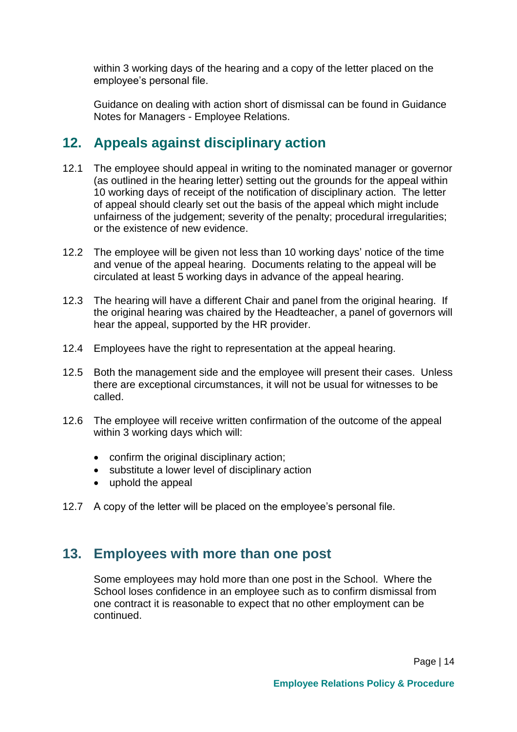within 3 working days of the hearing and a copy of the letter placed on the employee's personal file.

Guidance on dealing with action short of dismissal can be found in Guidance Notes for Managers - Employee Relations.

#### <span id="page-14-0"></span>**12. Appeals against disciplinary action**

- 12.1 The employee should appeal in writing to the nominated manager or governor (as outlined in the hearing letter) setting out the grounds for the appeal within 10 working days of receipt of the notification of disciplinary action. The letter of appeal should clearly set out the basis of the appeal which might include unfairness of the judgement; severity of the penalty; procedural irregularities; or the existence of new evidence.
- 12.2 The employee will be given not less than 10 working days' notice of the time and venue of the appeal hearing. Documents relating to the appeal will be circulated at least 5 working days in advance of the appeal hearing.
- 12.3 The hearing will have a different Chair and panel from the original hearing. If the original hearing was chaired by the Headteacher, a panel of governors will hear the appeal, supported by the HR provider.
- 12.4 Employees have the right to representation at the appeal hearing.
- 12.5 Both the management side and the employee will present their cases. Unless there are exceptional circumstances, it will not be usual for witnesses to be called.
- 12.6 The employee will receive written confirmation of the outcome of the appeal within 3 working days which will:
	- confirm the original disciplinary action;
	- substitute a lower level of disciplinary action
	- uphold the appeal
- 12.7 A copy of the letter will be placed on the employee's personal file.

#### <span id="page-14-1"></span>**13. Employees with more than one post**

Some employees may hold more than one post in the School. Where the School loses confidence in an employee such as to confirm dismissal from one contract it is reasonable to expect that no other employment can be continued.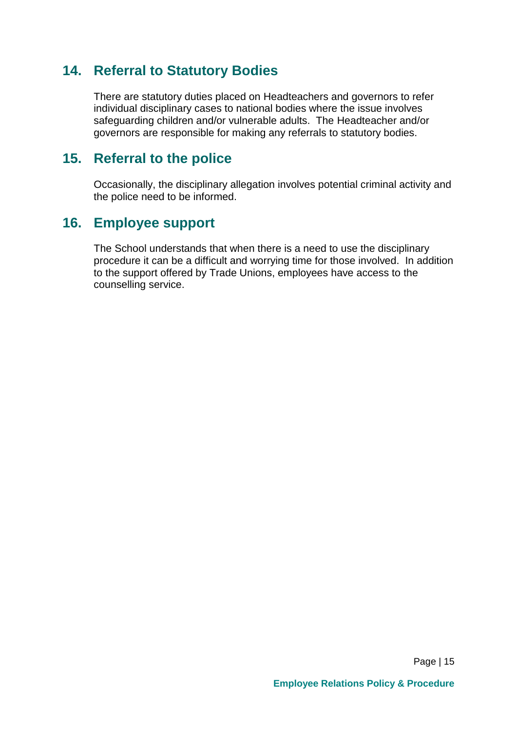#### <span id="page-15-0"></span>**14. Referral to Statutory Bodies**

There are statutory duties placed on Headteachers and governors to refer individual disciplinary cases to national bodies where the issue involves safeguarding children and/or vulnerable adults. The Headteacher and/or governors are responsible for making any referrals to statutory bodies.

#### <span id="page-15-1"></span>**15. Referral to the police**

Occasionally, the disciplinary allegation involves potential criminal activity and the police need to be informed.

#### <span id="page-15-2"></span>**16. Employee support**

The School understands that when there is a need to use the disciplinary procedure it can be a difficult and worrying time for those involved. In addition to the support offered by Trade Unions, employees have access to the counselling service.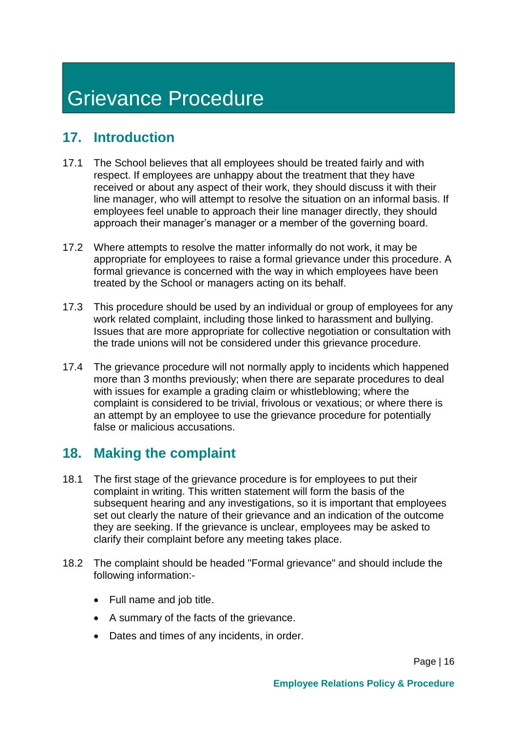# <span id="page-16-0"></span>Grievance Procedure

## <span id="page-16-1"></span>**17. Introduction**

- 17.1 The School believes that all employees should be treated fairly and with respect. If employees are unhappy about the treatment that they have received or about any aspect of their work, they should discuss it with their line manager, who will attempt to resolve the situation on an informal basis. If employees feel unable to approach their line manager directly, they should approach their manager's manager or a member of the governing board.
- 17.2 Where attempts to resolve the matter informally do not work, it may be appropriate for employees to raise a formal grievance under this procedure. A formal grievance is concerned with the way in which employees have been treated by the School or managers acting on its behalf.
- 17.3 This procedure should be used by an individual or group of employees for any work related complaint, including those linked to harassment and bullying. Issues that are more appropriate for collective negotiation or consultation with the trade unions will not be considered under this grievance procedure.
- 17.4 The grievance procedure will not normally apply to incidents which happened more than 3 months previously; when there are separate procedures to deal with issues for example a grading claim or whistleblowing; where the complaint is considered to be trivial, frivolous or vexatious; or where there is an attempt by an employee to use the grievance procedure for potentially false or malicious accusations.

## <span id="page-16-2"></span>**18. Making the complaint**

- 18.1 The first stage of the grievance procedure is for employees to put their complaint in writing. This written statement will form the basis of the subsequent hearing and any investigations, so it is important that employees set out clearly the nature of their grievance and an indication of the outcome they are seeking. If the grievance is unclear, employees may be asked to clarify their complaint before any meeting takes place.
- 18.2 The complaint should be headed "Formal grievance" and should include the following information:-
	- Full name and job title.
	- A summary of the facts of the grievance.
	- Dates and times of any incidents, in order.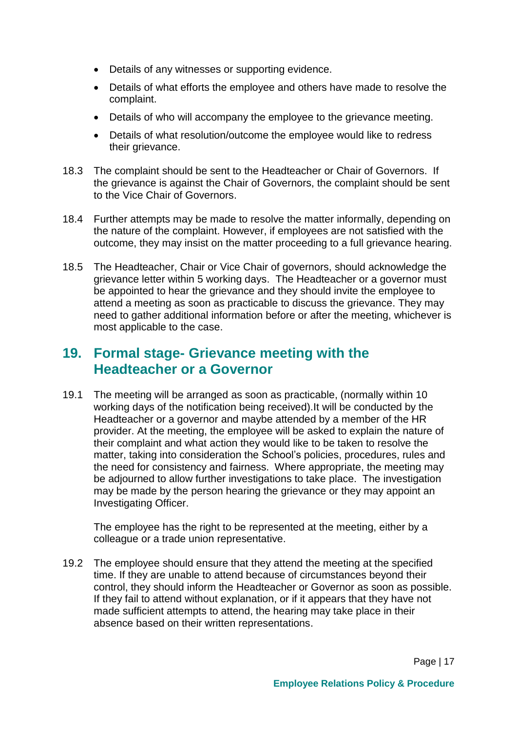- Details of any witnesses or supporting evidence.
- Details of what efforts the employee and others have made to resolve the complaint.
- Details of who will accompany the employee to the grievance meeting.
- Details of what resolution/outcome the employee would like to redress their grievance.
- 18.3 The complaint should be sent to the Headteacher or Chair of Governors. If the grievance is against the Chair of Governors, the complaint should be sent to the Vice Chair of Governors.
- 18.4 Further attempts may be made to resolve the matter informally, depending on the nature of the complaint. However, if employees are not satisfied with the outcome, they may insist on the matter proceeding to a full grievance hearing.
- 18.5 The Headteacher, Chair or Vice Chair of governors, should acknowledge the grievance letter within 5 working days. The Headteacher or a governor must be appointed to hear the grievance and they should invite the employee to attend a meeting as soon as practicable to discuss the grievance. They may need to gather additional information before or after the meeting, whichever is most applicable to the case.

## <span id="page-17-0"></span>**19. Formal stage- Grievance meeting with the Headteacher or a Governor**

19.1 The meeting will be arranged as soon as practicable, (normally within 10 working days of the notification being received).It will be conducted by the Headteacher or a governor and maybe attended by a member of the HR provider. At the meeting, the employee will be asked to explain the nature of their complaint and what action they would like to be taken to resolve the matter, taking into consideration the School's policies, procedures, rules and the need for consistency and fairness. Where appropriate, the meeting may be adjourned to allow further investigations to take place. The investigation may be made by the person hearing the grievance or they may appoint an Investigating Officer.

The employee has the right to be represented at the meeting, either by a colleague or a trade union representative.

19.2 The employee should ensure that they attend the meeting at the specified time. If they are unable to attend because of circumstances beyond their control, they should inform the Headteacher or Governor as soon as possible. If they fail to attend without explanation, or if it appears that they have not made sufficient attempts to attend, the hearing may take place in their absence based on their written representations.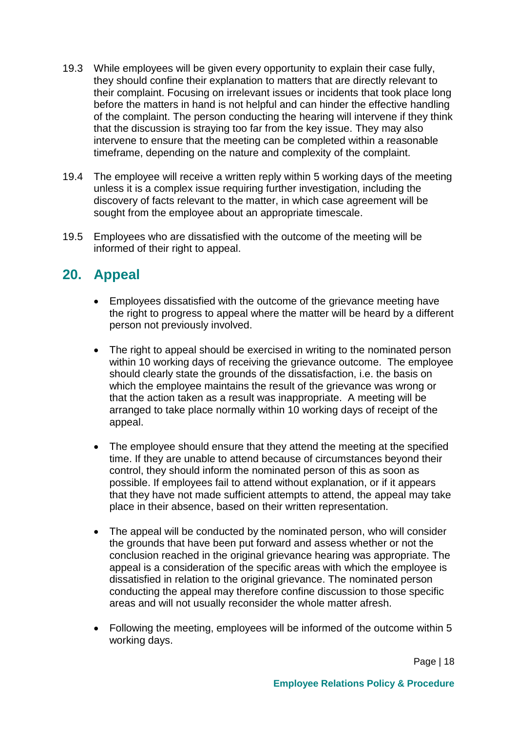- 19.3 While employees will be given every opportunity to explain their case fully, they should confine their explanation to matters that are directly relevant to their complaint. Focusing on irrelevant issues or incidents that took place long before the matters in hand is not helpful and can hinder the effective handling of the complaint. The person conducting the hearing will intervene if they think that the discussion is straying too far from the key issue. They may also intervene to ensure that the meeting can be completed within a reasonable timeframe, depending on the nature and complexity of the complaint.
- 19.4 The employee will receive a written reply within 5 working days of the meeting unless it is a complex issue requiring further investigation, including the discovery of facts relevant to the matter, in which case agreement will be sought from the employee about an appropriate timescale.
- 19.5 Employees who are dissatisfied with the outcome of the meeting will be informed of their right to appeal.

## <span id="page-18-0"></span>**20. Appeal**

- Employees dissatisfied with the outcome of the grievance meeting have the right to progress to appeal where the matter will be heard by a different person not previously involved.
- The right to appeal should be exercised in writing to the nominated person within 10 working days of receiving the grievance outcome. The employee should clearly state the grounds of the dissatisfaction, i.e. the basis on which the employee maintains the result of the grievance was wrong or that the action taken as a result was inappropriate. A meeting will be arranged to take place normally within 10 working days of receipt of the appeal.
- The employee should ensure that they attend the meeting at the specified time. If they are unable to attend because of circumstances beyond their control, they should inform the nominated person of this as soon as possible. If employees fail to attend without explanation, or if it appears that they have not made sufficient attempts to attend, the appeal may take place in their absence, based on their written representation.
- The appeal will be conducted by the nominated person, who will consider the grounds that have been put forward and assess whether or not the conclusion reached in the original grievance hearing was appropriate. The appeal is a consideration of the specific areas with which the employee is dissatisfied in relation to the original grievance. The nominated person conducting the appeal may therefore confine discussion to those specific areas and will not usually reconsider the whole matter afresh.
- Following the meeting, employees will be informed of the outcome within 5 working days.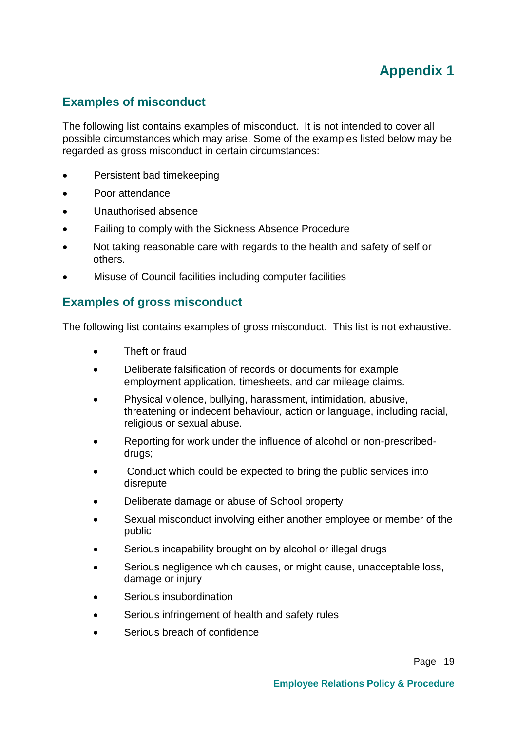## **Appendix 1**

#### <span id="page-19-1"></span><span id="page-19-0"></span>**Examples of misconduct**

The following list contains examples of misconduct. It is not intended to cover all possible circumstances which may arise. Some of the examples listed below may be regarded as gross misconduct in certain circumstances:

- Persistent bad timekeeping
- Poor attendance
- Unauthorised absence
- Failing to comply with the Sickness Absence Procedure
- Not taking reasonable care with regards to the health and safety of self or others.
- Misuse of Council facilities including computer facilities

#### <span id="page-19-2"></span>**Examples of gross misconduct**

The following list contains examples of gross misconduct. This list is not exhaustive.

- Theft or fraud
- Deliberate falsification of records or documents for example employment application, timesheets, and car mileage claims.
- Physical violence, bullying, harassment, intimidation, abusive, threatening or indecent behaviour, action or language, including racial, religious or sexual abuse.
- Reporting for work under the influence of alcohol or non-prescribeddrugs;
- Conduct which could be expected to bring the public services into disrepute
- Deliberate damage or abuse of School property
- Sexual misconduct involving either another employee or member of the public
- Serious incapability brought on by alcohol or illegal drugs
- Serious negligence which causes, or might cause, unacceptable loss, damage or injury
- Serious insubordination
- Serious infringement of health and safety rules
- Serious breach of confidence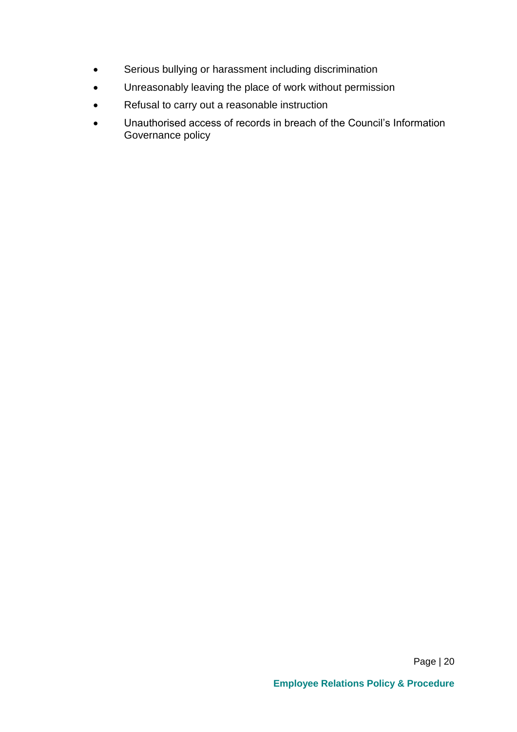- Serious bullying or harassment including discrimination
- Unreasonably leaving the place of work without permission
- Refusal to carry out a reasonable instruction
- Unauthorised access of records in breach of the Council's Information Governance policy